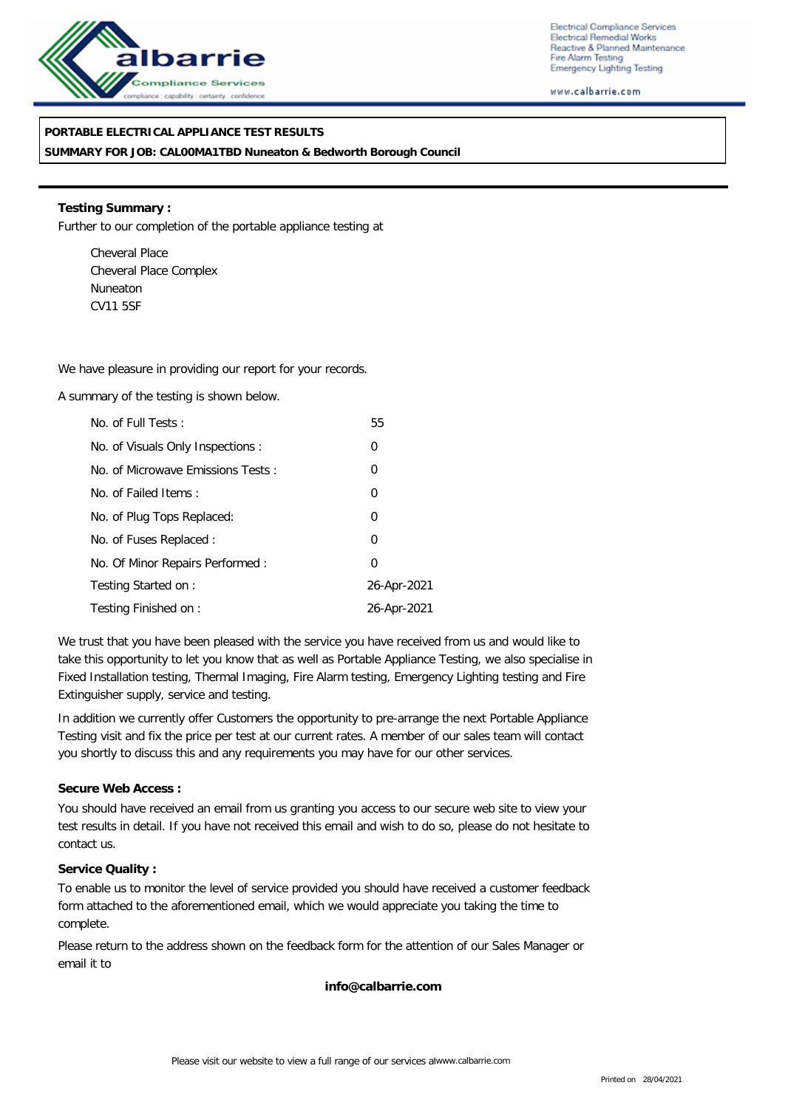

Electrical Compliance Services Electrical Remedial Works Reactive & Planned Maintenance Fire Alarm Testing Emergency Lighting Testing

www.calbarrie.com

## **PORTABLE ELECTRICAL APPLIANCE TEST RESULTS**

**SUMMARY FOR JOB: CAL00MA1TBD Nuneaton & Bedworth Borough Council**

**Testing Summary :** Further to our completion of the portable appliance testing at

Cheveral Place Cheveral Place Complex Nuneaton CV11 5SF

We have pleasure in providing our report for your records.

A summary of the testing is shown below.

| No. of Full Tests:                | 55          |
|-----------------------------------|-------------|
| No. of Visuals Only Inspections : | 0           |
| No. of Microwave Emissions Tests: | 0           |
| No. of Failed Items:              | $\mathbf 0$ |
| No. of Plug Tops Replaced:        | $\mathbf 0$ |
| No. of Fuses Replaced:            | 0           |
| No. Of Minor Repairs Performed:   | $\Omega$    |
| Testing Started on:               | 26-Apr-2021 |
| Testing Finished on:              | 26-Apr-2021 |

We trust that you have been pleased with the service you have received from us and would like to take this opportunity to let you know that as well as Portable Appliance Testing, we also specialise in Fixed Installation testing, Thermal Imaging, Fire Alarm testing, Emergency Lighting testing and Fire Extinguisher supply, service and testing.

In addition we currently offer Customers the opportunity to pre-arrange the next Portable Appliance Testing visit and fix the price per test at our current rates. A member of our sales team will contact you shortly to discuss this and any requirements you may have for our other services.

### **Secure Web Access :**

You should have received an email from us granting you access to our secure web site to view your test results in detail. If you have not received this email and wish to do so, please do not hesitate to contact us.

### **Service Quality :**

To enable us to monitor the level of service provided you should have received a customer feedback form attached to the aforementioned email, which we would appreciate you taking the time to complete.

Please return to the address shown on the feedback form for the attention of our Sales Manager or email it to

**info@calbarrie.com**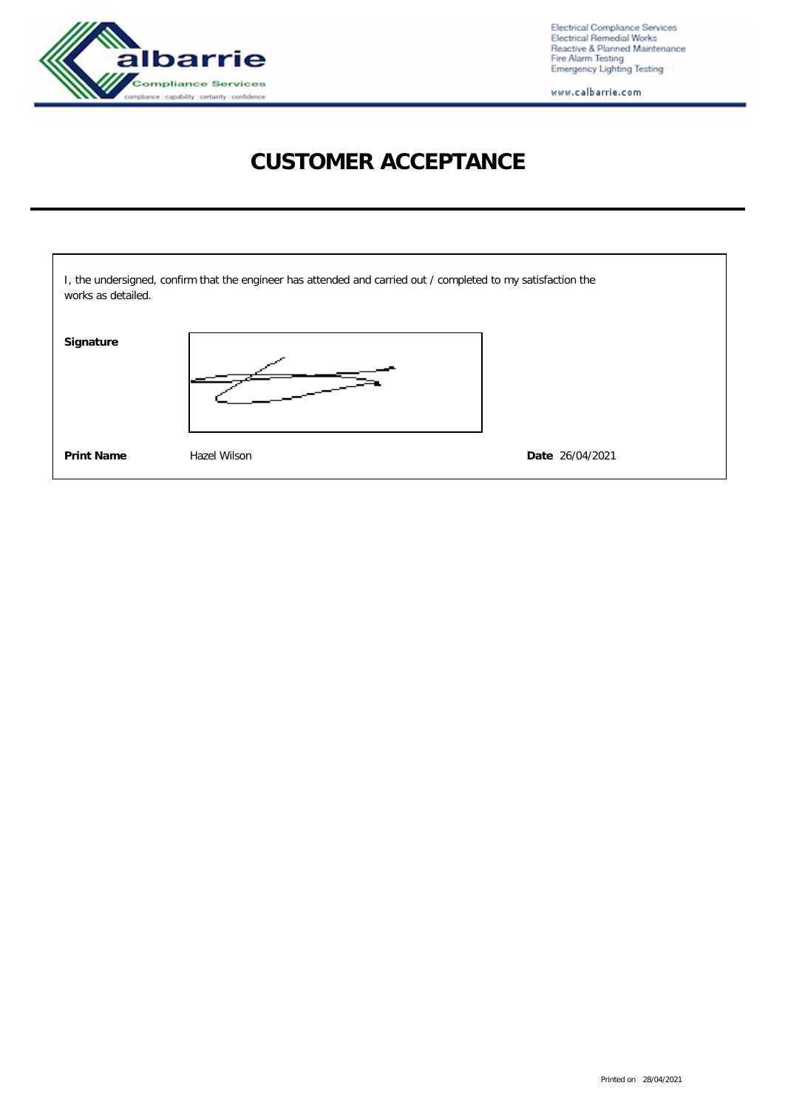

Electrical Compliance Services<br>Electrical Remedial Works<br>Reactive & Planned Maintenance<br>Fire Alarm Testing<br>Emergency Lighting Testing

www.calbarrie.com

# **CUSTOMER ACCEPTANCE**

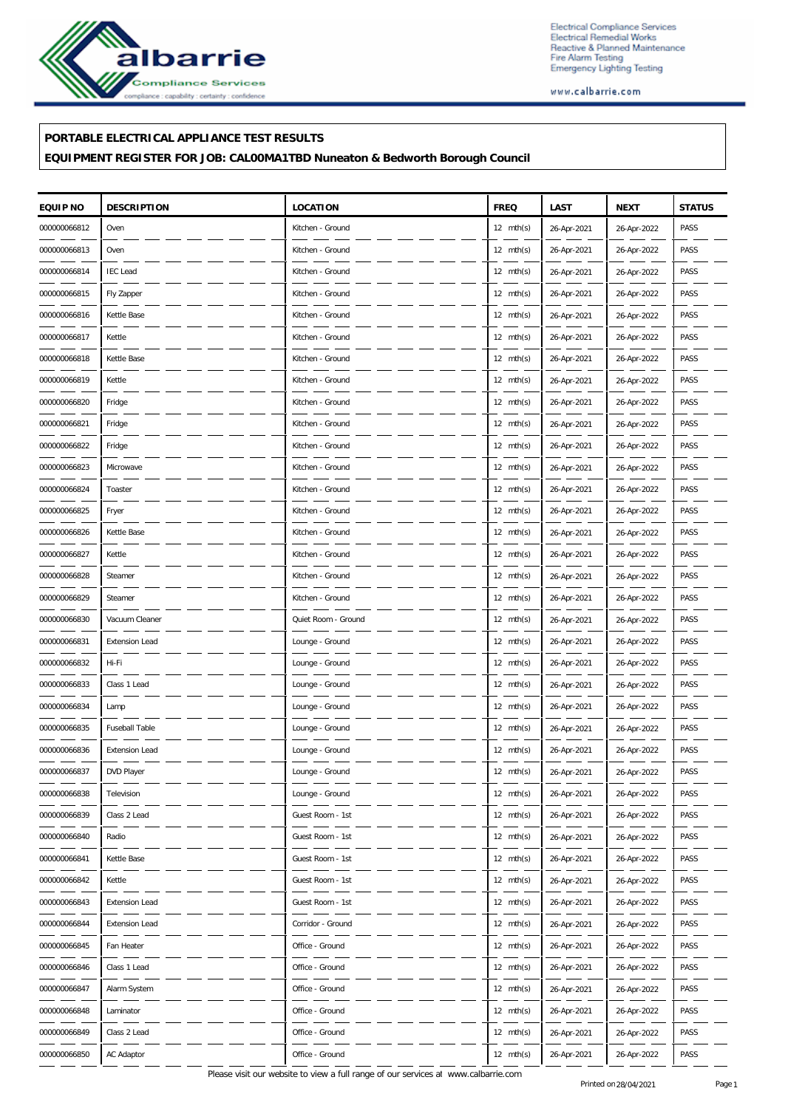

Electrical Compliance Services Electrical Compliance Services<br>Electrical Remedial Works<br>Reactive & Planned Maintenance<br>Fire Alarm Testing<br>Emergency Lighting Testing

www.calbarrie.com

### **PORTABLE ELECTRICAL APPLIANCE TEST RESULTS**

**EQUIPMENT REGISTER FOR JOB: CAL00MA1TBD Nuneaton & Bedworth Borough Council**

| EQUIP NO     | <b>DESCRIPTION</b>    | <b>LOCATION</b>     | <b>FREQ</b>         | LAST        | <b>NEXT</b> | <b>STATUS</b> |
|--------------|-----------------------|---------------------|---------------------|-------------|-------------|---------------|
| 000000066812 | Oven                  | Kitchen - Ground    | $12 \text{ mth(s)}$ | 26-Apr-2021 | 26-Apr-2022 | PASS          |
| 000000066813 | Oven                  | Kitchen - Ground    | 12 $mth(s)$         | 26-Apr-2021 | 26-Apr-2022 | PASS          |
| 000000066814 | <b>IEC</b> Lead       | Kitchen - Ground    | 12 $mth(s)$         | 26-Apr-2021 | 26-Apr-2022 | PASS          |
| 000000066815 | Fly Zapper            | Kitchen - Ground    | $12 \text{ mth(s)}$ | 26-Apr-2021 | 26-Apr-2022 | PASS          |
| 000000066816 | Kettle Base           | Kitchen - Ground    | $12 \text{ mth(s)}$ | 26-Apr-2021 | 26-Apr-2022 | PASS          |
| 000000066817 | Kettle                | Kitchen - Ground    | 12 mth(s)           | 26-Apr-2021 | 26-Apr-2022 | PASS          |
| 000000066818 | Kettle Base           | Kitchen - Ground    | 12 $mth(s)$         | 26-Apr-2021 | 26-Apr-2022 | PASS          |
| 000000066819 | Kettle                | Kitchen - Ground    | $12 \text{ mth(s)}$ | 26-Apr-2021 | 26-Apr-2022 | PASS          |
| 000000066820 | Fridge                | Kitchen - Ground    | $12 \text{ mth(s)}$ | 26-Apr-2021 | 26-Apr-2022 | PASS          |
| 000000066821 | Fridge                | Kitchen - Ground    | 12 $mth(s)$         | 26-Apr-2021 | 26-Apr-2022 | PASS          |
| 000000066822 | Fridge                | Kitchen - Ground    | 12 $mth(s)$         | 26-Apr-2021 | 26-Apr-2022 | PASS          |
| 000000066823 | Microwave             | Kitchen - Ground    | $12 \text{ mth(s)}$ | 26-Apr-2021 | 26-Apr-2022 | PASS          |
| 000000066824 | Toaster               | Kitchen - Ground    | $12 \text{ mth(s)}$ | 26-Apr-2021 | 26-Apr-2022 | PASS          |
| 000000066825 | Fryer                 | Kitchen - Ground    | 12 $mth(s)$         | 26-Apr-2021 | 26-Apr-2022 | PASS          |
| 000000066826 | Kettle Base           | Kitchen - Ground    | 12 $mth(s)$         | 26-Apr-2021 | 26-Apr-2022 | PASS          |
| 000000066827 | Kettle                | Kitchen - Ground    | $12 \text{ mth(s)}$ | 26-Apr-2021 | 26-Apr-2022 | PASS          |
| 000000066828 | Steamer               | Kitchen - Ground    | $12 \text{ mth(s)}$ | 26-Apr-2021 | 26-Apr-2022 | PASS          |
| 000000066829 | Steamer               | Kitchen - Ground    | 12 $mth(s)$         | 26-Apr-2021 | 26-Apr-2022 | PASS          |
| 000000066830 | Vacuum Cleaner        | Quiet Room - Ground | 12 mth(s)           | 26-Apr-2021 | 26-Apr-2022 | PASS          |
| 000000066831 | <b>Extension Lead</b> | Lounge - Ground     | $12 \text{ mth(s)}$ | 26-Apr-2021 | 26-Apr-2022 | PASS          |
| 000000066832 | Hi-Fi                 | Lounge - Ground     | $12 \text{ mth(s)}$ | 26-Apr-2021 | 26-Apr-2022 | PASS          |
| 000000066833 | Class 1 Lead          | Lounge - Ground     | 12 $mth(s)$         | 26-Apr-2021 | 26-Apr-2022 | PASS          |
| 000000066834 | Lamp                  | Lounge - Ground     | 12 $mth(s)$         | 26-Apr-2021 | 26-Apr-2022 | PASS          |
| 000000066835 | Fuseball Table        | Lounge - Ground     | $12 \text{ mth(s)}$ | 26-Apr-2021 | 26-Apr-2022 | PASS          |
| 000000066836 | <b>Extension Lead</b> | Lounge - Ground     | $12 \text{ mth(s)}$ | 26-Apr-2021 | 26-Apr-2022 | PASS          |
| 000000066837 | DVD Player            | Lounge - Ground     | $12 \text{ mth(s)}$ | 26-Apr-2021 | 26-Apr-2022 | PASS          |
| 000000066838 | Television            | Lounge - Ground     | $12 \text{ mth(s)}$ | 26-Apr-2021 | 26-Apr-2022 | PASS          |
| 000000066839 | Class 2 Lead          | Guest Room - 1st    | $12 \text{ mth(s)}$ | 26-Apr-2021 | 26-Apr-2022 | PASS          |
| 000000066840 | Radio                 | Guest Room - 1st    | $12 \text{ mth(s)}$ | 26-Apr-2021 | 26-Apr-2022 | PASS          |
| 000000066841 | Kettle Base           | Guest Room - 1st    | 12 $mth(s)$         | 26-Apr-2021 | 26-Apr-2022 | PASS          |
| 000000066842 | Kettle                | Guest Room - 1st    | 12 mth(s)           | 26-Apr-2021 | 26-Apr-2022 | PASS          |
| 000000066843 | <b>Extension Lead</b> | Guest Room - 1st    | $12 \text{ mth(s)}$ | 26-Apr-2021 | 26-Apr-2022 | PASS          |
| 000000066844 | <b>Extension Lead</b> | Corridor - Ground   | $12 \text{ mth(s)}$ | 26-Apr-2021 | 26-Apr-2022 | PASS          |
| 000000066845 | Fan Heater            | Office - Ground     | 12 mth(s)           | 26-Apr-2021 | 26-Apr-2022 | PASS          |
| 000000066846 | Class 1 Lead          | Office - Ground     | 12 mth(s)           | 26-Apr-2021 | 26-Apr-2022 | PASS          |
| 000000066847 | Alarm System          | Office - Ground     | $12 \text{ mth(s)}$ | 26-Apr-2021 | 26-Apr-2022 | PASS          |
| 000000066848 | Laminator             | Office - Ground     | $12 \text{ mth(s)}$ | 26-Apr-2021 | 26-Apr-2022 | PASS          |
| 000000066849 | Class 2 Lead          | Office - Ground     | 12 mth(s)           | 26-Apr-2021 | 26-Apr-2022 | PASS          |
| 000000066850 | AC Adaptor            | Office - Ground     | 12 mth(s)           | 26-Apr-2021 | 26-Apr-2022 | PASS          |

Please visit our website to view a full range of our services at www.calbarrie.com Printed on 28/04/2021 Page 1